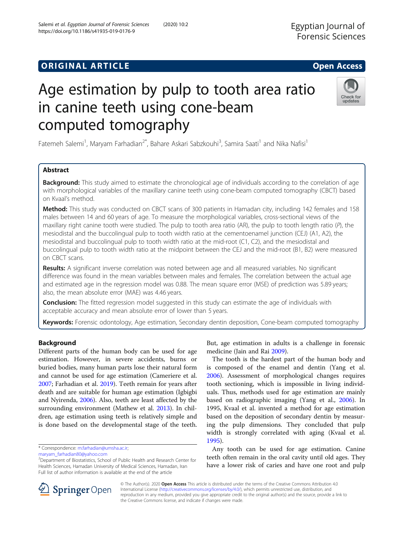## **ORIGINAL ARTICLE CONSERVANCE IN A LOCAL CONSERVANCE IN A LOCAL CONSERVANCE IN A LOCAL CONSERVANCE IN A LOCAL CONS**

# Age estimation by pulp to tooth area ratio in canine teeth using cone-beam computed tomography

Fatemeh Salemi<sup>1</sup>, Maryam Farhadian<sup>2\*</sup>, Bahare Askari Sabzkouhi<sup>3</sup>, Samira Saati<sup>1</sup> and Nika Nafisi<sup>1</sup>

## Abstract

**Background:** This study aimed to estimate the chronological age of individuals according to the correlation of age with morphological variables of the maxillary canine teeth using cone-beam computed tomography (CBCT) based on Kvaal's method.

Method: This study was conducted on CBCT scans of 300 patients in Hamadan city, including 142 females and 158 males between 14 and 60 years of age. To measure the morphological variables, cross-sectional views of the maxillary right canine tooth were studied. The pulp to tooth area ratio (AR), the pulp to tooth length ratio (P), the mesiodistal and the buccolingual pulp to tooth width ratio at the cementoenamel junction (CEJ) (A1, A2), the mesiodistal and buccolingual pulp to tooth width ratio at the mid-root (C1, C2), and the mesiodistal and buccolingual pulp to tooth width ratio at the midpoint between the CEJ and the mid-root (B1, B2) were measured on CBCT scans.

Results: A significant inverse correlation was noted between age and all measured variables. No significant difference was found in the mean variables between males and females. The correlation between the actual age and estimated age in the regression model was 0.88. The mean square error (MSE) of prediction was 5.89 years; also, the mean absolute error (MAE) was 4.46 years.

**Conclusion:** The fitted regression model suggested in this study can estimate the age of individuals with acceptable accuracy and mean absolute error of lower than 5 years.

Keywords: Forensic odontology, Age estimation, Secondary dentin deposition, Cone-beam computed tomography

## Background

Different parts of the human body can be used for age estimation. However, in severe accidents, burns or buried bodies, many human parts lose their natural form and cannot be used for age estimation (Cameriere et al. [2007](#page-7-0); Farhadian et al. [2019](#page-7-0)). Teeth remain for years after death and are suitable for human age estimation (Igbigbi and Nyirenda, [2006](#page-7-0)). Also, teeth are least affected by the surrounding environment (Mathew et al. [2013\)](#page-7-0). In children, age estimation using teeth is relatively simple and is done based on the developmental stage of the teeth.

\* Correspondence: [m.farhadian@umsha.ac.ir](mailto:m.farhadian@umsha.ac.ir);

[maryam\\_farhadian80@yahoo.com](mailto:maryam_farhadian80@yahoo.com)

© The Author(s). 2020 Open Access This article is distributed under the terms of the Creative Commons Attribution 4.0 International License ([http://creativecommons.org/licenses/by/4.0/\)](http://creativecommons.org/licenses/by/4.0/), which permits unrestricted use, distribution, and reproduction in any medium, provided you give appropriate credit to the original author(s) and the source, provide a link to the Creative Commons license, and indicate if changes were made.

But, age estimation in adults is a challenge in forensic medicine (Jain and Rai [2009\)](#page-7-0).

The tooth is the hardest part of the human body and is composed of the enamel and dentin (Yang et al. [2006](#page-7-0)). Assessment of morphological changes requires tooth sectioning, which is impossible in living individuals. Thus, methods used for age estimation are mainly based on radiographic imaging (Yang et al., [2006\)](#page-7-0). In 1995, Kvaal et al. invented a method for age estimation based on the deposition of secondary dentin by measuring the pulp dimensions. They concluded that pulp width is strongly correlated with aging (Kvaal et al. [1995](#page-7-0)).

Any tooth can be used for age estimation. Canine teeth often remain in the oral cavity until old ages. They have a lower risk of caries and have one root and pulp





Check for updates

<sup>&</sup>lt;sup>2</sup>Department of Biostatistics, School of Public Health and Research Center for Health Sciences, Hamadan University of Medical Sciences, Hamadan, Iran Full list of author information is available at the end of the article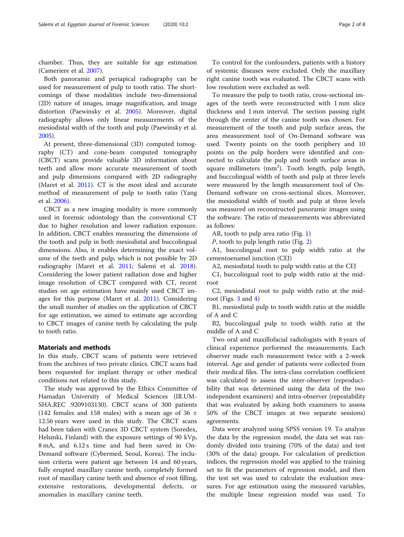chamber. Thus, they are suitable for age estimation (Cameriere et al. [2007](#page-7-0)).

Both panoramic and periapical radiography can be used for measurement of pulp to tooth ratio. The shortcomings of these modalities include two-dimensional (2D) nature of images, image magnification, and image distortion (Paewinsky et al. [2005\)](#page-7-0). Moreover, digital radiography allows only linear measurements of the mesiodistal width of the tooth and pulp (Paewinsky et al. [2005](#page-7-0)).

At present, three-dimensional (3D) computed tomography (CT) and cone-beam computed tomography (CBCT) scans provide valuable 3D information about teeth and allow more accurate measurement of tooth and pulp dimensions compared with 2D radiography (Maret et al. [2011\)](#page-7-0). CT is the most ideal and accurate method of measurement of pulp to tooth ratio (Yang et al. [2006\)](#page-7-0).

CBCT as a new imaging modality is more commonly used in forensic odontology than the conventional CT due to higher resolution and lower radiation exposure. In addition, CBCT enables measuring the dimensions of the tooth and pulp in both mesiodistal and buccolingual dimensions. Also, it enables determining the exact volume of the teeth and pulp, which is not possible by 2D radiography (Maret et al. [2011;](#page-7-0) Salemi et al. [2018](#page-7-0)). Considering the lower patient radiation dose and higher image resolution of CBCT compared with CT, recent studies on age estimation have mainly used CBCT images for this purpose (Maret et al. [2011\)](#page-7-0). Considering the small number of studies on the application of CBCT for age estimation, we aimed to estimate age according to CBCT images of canine teeth by calculating the pulp to tooth ratio.

#### Materials and methods

In this study, CBCT scans of patients were retrieved from the archives of two private clinics. CBCT scans had been requested for implant therapy or other medical conditions not related to this study.

The study was approved by the Ethics Committee of Hamadan University of Medical Sciences (IR.UM-SHA.REC .9209103130). CBCT scans of 300 patients (142 females and 158 males) with a mean age of 36  $\pm$ 12.56 years were used in this study. The CBCT scans had been taken with Cranex 3D CBCT system (Soredex, Helsinki, Finland) with the exposure settings of 90 kVp, 8 mA, and 6.12 s time and had been saved in On-Demand software (Cybermed, Seoul, Korea). The inclusion criteria were patient age between 14 and 60 years, fully erupted maxillary canine teeth, completely formed root of maxillary canine teeth and absence of root filling, extensive restorations, developmental defects, or anomalies in maxillary canine teeth.

To control for the confounders, patients with a history of systemic diseases were excluded. Only the maxillary right canine tooth was evaluated. The CBCT scans with low resolution were excluded as well.

To measure the pulp to tooth ratio, cross-sectional images of the teeth were reconstructed with 1 mm slice thickness and 1 mm interval. The section passing right through the center of the canine tooth was chosen. For measurement of the tooth and pulp surface areas, the area measurement tool of On-Demand software was used. Twenty points on the tooth periphery and 10 points on the pulp borders were identified and connected to calculate the pulp and tooth surface areas in square millimeters (mm<sup>2</sup>). Tooth length, pulp length, and buccolingual width of tooth and pulp at three levels were measured by the length measurement tool of On-Demand software on cross-sectional slices. Moreover, the mesiodistal width of tooth and pulp at three levels was measured on reconstructed panoramic images using the software. The ratio of measurements was abbreviated as follows:

AR, tooth to pulp area ratio (Fig. [1](#page-2-0))

P, tooth to pulp length ratio (Fig. [2\)](#page-2-0)

A1, buccolingual root to pulp width ratio at the cementoenamel junction (CEJ)

A2, mesiodistal tooth to pulp width ratio at the CEJ

C1, buccolingual root to pulp width ratio at the midroot

C2, mesiodistal root to pulp width ratio at the midroot (Figs. [3](#page-3-0) and [4\)](#page-3-0)

B1, mesiodistal pulp to tooth width ratio at the middle of A and C

B2, buccolingual pulp to tooth width ratio at the middle of A and C

Two oral and maxillofacial radiologists with 8 years of clinical experience performed the measurements. Each observer made each measurement twice with a 2-week interval. Age and gender of patients were collected from their medical files. The intra-class correlation coefficient was calculated to assess the inter-observer (reproducibility that was determined using the data of the two independent examiners) and intra-observer (repeatability that was evaluated by asking both examiners to assess 50% of the CBCT images at two separate sessions) agreements.

Data were analyzed using SPSS version 19. To analyze the data by the regression model, the data set was randomly divided into training (70% of the data) and test (30% of the data) groups. For calculation of prediction indices, the regression model was applied to the training set to fit the parameters of regression model, and then the test set was used to calculate the evaluation measures. For age estimation using the measured variables, the multiple linear regression model was used. To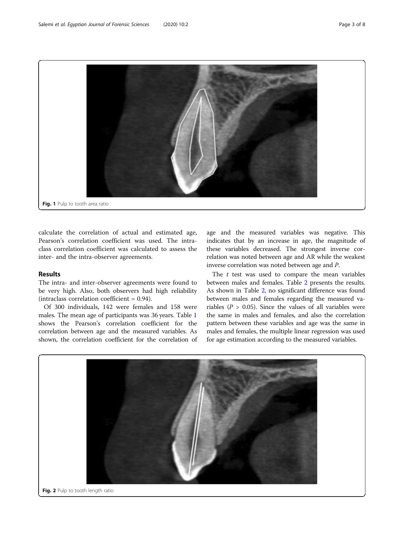<span id="page-2-0"></span>

calculate the correlation of actual and estimated age, Pearson's correlation coefficient was used. The intraclass correlation coefficient was calculated to assess the inter- and the intra-observer agreements.

### Results

The intra- and inter-observer agreements were found to be very high. Also, both observers had high reliability (intraclass correlation coefficient  $= 0.94$ ).

Of 300 individuals, 142 were females and 158 were males. The mean age of participants was 36 years. Table [1](#page-4-0) shows the Pearson's correlation coefficient for the correlation between age and the measured variables. As shown, the correlation coefficient for the correlation of

age and the measured variables was negative. This indicates that by an increase in age, the magnitude of these variables decreased. The strongest inverse correlation was noted between age and AR while the weakest inverse correlation was noted between age and P.

The  $t$  test was used to compare the mean variables between males and females. Table [2](#page-4-0) presents the results. As shown in Table [2](#page-4-0), no significant difference was found between males and females regarding the measured variables ( $P > 0.05$ ). Since the values of all variables were the same in males and females, and also the correlation pattern between these variables and age was the same in males and females, the multiple linear regression was used for age estimation according to the measured variables.

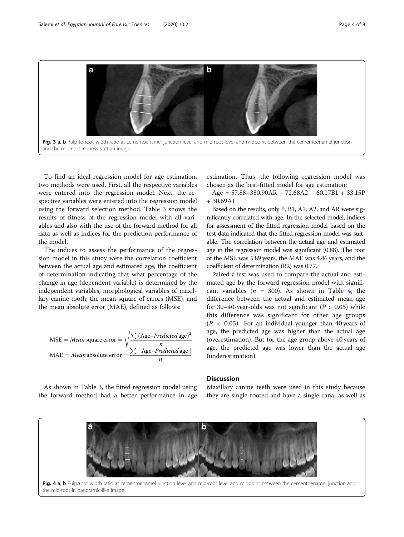<span id="page-3-0"></span>

To find an ideal regression model for age estimation, two methods were used. First, all the respective variables were entered into the regression model. Next, the respective variables were entered into the regression model using the forward selection method. Table [3](#page-5-0) shows the results of fitness of the regression model with all variables and also with the use of the forward method for all data as well as indices for the prediction performance of the model.

The indices to assess the performance of the regression model in this study were the correlation coefficient between the actual age and estimated age, the coefficient of determination indicating that what percentage of the change in age (dependent variable) is determined by the independent variables, morphological variables of maxillary canine tooth, the mean square of errors (MSE), and the mean absolute error (MAE), defined as follows:

MSE = *Mean* square error = 
$$
\sqrt{\frac{\sum (Age-Predicted age)^2}{n}}
$$
  
MAE = *Mean* absolute error =  $\frac{\sum |Age-Predicted age|}{n}$ 

As shown in Table [3](#page-5-0), the fitted regression model using the forward method had a better performance in age

estimation. Thus, the following regression model was chosen as the best-fitted model for age estimation:

Age = 57.88–380.90AR + 72.68A2 − 60.17B1 + 33.15P + 30.69A1

Based on the results, only P, B1, A1, A2, and AR were significantly correlated with age. In the selected model, indices for assessment of the fitted regression model based on the test data indicated that the fitted regression model was suitable. The correlation between the actual age and estimated age in the regression model was significant (0.88). The root of the MSE was 5.89 years, the MAE was 4.46 years, and the coefficient of determination (R2) was 0.77.

Paired  $t$  test was used to compare the actual and estimated age by the forward regression model with significant variables ( $n = 300$ ). As shown in Table [4,](#page-5-0) the difference between the actual and estimated mean age for 30–40-year-olds was not significant ( $P > 0.05$ ) while this difference was significant for other age groups  $(P < 0.05)$ . For an individual younger than 40 years of age, the predicted age was higher than the actual age (overestimation). But for the age group above 40 years of age, the predicted age was lower than the actual age (underestimation).

#### **Discussion**

Maxillary canine teeth were used in this study because they are single-rooted and have a single canal as well as

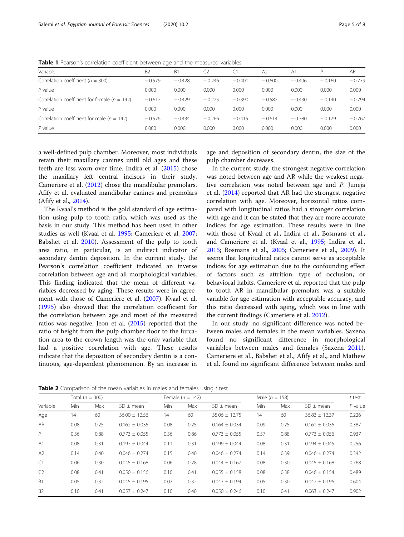<span id="page-4-0"></span>Table 1 Pearson's correlation coefficient between age and the measured variables

| Variable                                         | B <sub>2</sub> | B <sub>1</sub> | C <sub>2</sub> | Ci       | A <sub>2</sub> | A <sub>1</sub> |          | AR       |
|--------------------------------------------------|----------------|----------------|----------------|----------|----------------|----------------|----------|----------|
| Correlation coefficient ( $n = 300$ )            | $-0.579$       | $-0.428$       | $-0.246$       | $-0.401$ | $-0.600$       | $-0.406$       | $-0.160$ | $-0.779$ |
| $P$ value                                        | 0.000          | 0.000          | 0.000          | 0.000    | 0.000          | 0.000          | 0.000    | 0.000    |
| Correlation coefficient for female ( $n = 142$ ) | $-0.612$       | $-0.429$       | $-0.225$       | $-0.390$ | $-0.582$       | $-0.430$       | $-0.140$ | $-0.794$ |
| $P$ value                                        | 0.000          | 0.000          | 0.000          | 0.000    | 0.000          | 0.000          | 0.000    | 0.000    |
| Correlation coefficient for male ( $n = 142$ )   | $-0.576$       | $-0.434$       | $-0.266$       | $-0.415$ | $-0.614$       | $-0.380$       | $-0.179$ | $-0.767$ |
| $P$ value                                        | 0.000          | 0.000          | 0.000          | 0.000    | 0.000          | 0.000          | 0.000    | 0.000    |

a well-defined pulp chamber. Moreover, most individuals retain their maxillary canines until old ages and these teeth are less worn over time. Indira et al. [\(2015\)](#page-7-0) chose the maxillary left central incisors in their study. Cameriere et al. ([2012](#page-7-0)) chose the mandibular premolars. Afify et al. evaluated mandibular canines and premolars (Afify et al., [2014\)](#page-7-0).

The Kvaal's method is the gold standard of age estimation using pulp to tooth ratio, which was used as the basis in our study. This method has been used in other studies as well (Kvaal et al. [1995](#page-7-0); Cameriere et al. [2007](#page-7-0); Babshet et al. [2010](#page-7-0)). Assessment of the pulp to tooth area ratio, in particular, is an indirect indicator of secondary dentin deposition. In the current study, the Pearson's correlation coefficient indicated an inverse correlation between age and all morphological variables. This finding indicated that the mean of different variables decreased by aging. These results were in agreement with those of Cameriere et al. ([2007\)](#page-7-0). Kvaal et al. ([1995](#page-7-0)) also showed that the correlation coefficient for the correlation between age and most of the measured ratios was negative. Jeon et al. ([2015\)](#page-7-0) reported that the ratio of height from the pulp chamber floor to the furcation area to the crown length was the only variable that had a positive correlation with age. These results indicate that the deposition of secondary dentin is a continuous, age-dependent phenomenon. By an increase in

age and deposition of secondary dentin, the size of the pulp chamber decreases.

In the current study, the strongest negative correlation was noted between age and AR while the weakest negative correlation was noted between age and P. Juneja et al. ([2014\)](#page-7-0) reported that AR had the strongest negative correlation with age. Moreover, horizontal ratios compared with longitudinal ratios had a stronger correlation with age and it can be stated that they are more accurate indices for age estimation. These results were in line with those of Kvaal et al., Indira et al., Bosmans et al., and Cameriere et al. (Kvaal et al., [1995;](#page-7-0) Indira et al., [2015](#page-7-0); Bosmans et al., [2005](#page-7-0); Cameriere et al., [2009](#page-7-0)). It seems that longitudinal ratios cannot serve as acceptable indices for age estimation due to the confounding effect of factors such as attrition, type of occlusion, or behavioral habits. Cameriere et al. reported that the pulp to tooth AR in mandibular premolars was a suitable variable for age estimation with acceptable accuracy, and this ratio decreased with aging, which was in line with the current findings (Cameriere et al. [2012\)](#page-7-0).

In our study, no significant difference was noted between males and females in the mean variables. Saxena found no significant difference in morphological variables between males and females (Saxena [2011](#page-7-0)). Cameriere et al., Babshet et al., Afify et al., and Mathew et al. found no significant difference between males and

Table 2 Comparison of the mean variables in males and females using t test

|                |      | Total ( $n = 300$ ) |                   |      | Female $(n = 142)$ |                   |            | Male ( $n = 158$ ) |                   |           |
|----------------|------|---------------------|-------------------|------|--------------------|-------------------|------------|--------------------|-------------------|-----------|
| Variable       | Min. | Max                 | $SD \pm mean$     | Min. | Max                | $SD \pm mean$     | <b>Min</b> | Max                | $SD \pm mean$     | $P$ value |
| Age            | 14   | 60                  | $36.00 \pm 12.56$ | 14   | 60                 | $35.06 \pm 12.75$ | 14         | 60                 | $36.83 \pm 12.37$ | 0.226     |
| AR             | 0.08 | 0.25                | $0.162 \pm 0.035$ | 0.08 | 0.25               | $0.164 \pm 0.034$ | 0.09       | 0.25               | $0.161 \pm 0.036$ | 0.387     |
| P              | 0.56 | 0.88                | $0.773 + 0.055$   | 0.56 | 0.86               | $0.773 \pm 0.055$ | 0.57       | 0.88               | $0.773 \pm 0.056$ | 0.937     |
| A <sub>1</sub> | 0.08 | 0.31                | $0.197 \pm 0.044$ | 0.11 | 0.31               | $0.199 \pm 0.044$ | 0.08       | 0.31               | $0.194 \pm 0.045$ | 0.256     |
| A2             | 0.14 | 0.40                | $0.046 \pm 0.274$ | 0.15 | 0.40               | $0.046 \pm 0.274$ | 0.14       | 0.39               | $0.046 \pm 0.274$ | 0.342     |
| C1             | 0.06 | 0.30                | $0.045 \pm 0.168$ | 0.06 | 0.28               | $0.044 \pm 0.167$ | 0.08       | 0.30               | $0.045 \pm 0.168$ | 0.768     |
| C <sub>2</sub> | 0.08 | 0.41                | $0.050 \pm 0.156$ | 0.10 | 0.41               | $0.055 \pm 0.158$ | 0.08       | 0.38               | $0.046 \pm 0.154$ | 0.489     |
| B <sub>1</sub> | 0.05 | 0.32                | $0.045 \pm 0.195$ | 0.07 | 0.32               | $0.043 \pm 0.194$ | 0.05       | 0.30               | $0.047 \pm 0.196$ | 0.604     |
| B <sub>2</sub> | 0.10 | 0.41                | $0.057 \pm 0.247$ | 0.10 | 0.40               | $0.050 \pm 0.246$ | 0.10       | 0.41               | $0.063 \pm 0.247$ | 0.902     |
|                |      |                     |                   |      |                    |                   |            |                    |                   |           |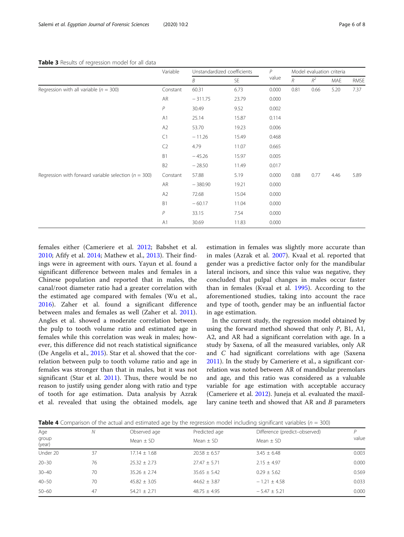#### <span id="page-5-0"></span>Table 3 Results of regression model for all data

|                                                          | Variable       | Unstandardized coefficients |           | $\mathcal{P}$ | Model evaluation criteria |                |      |             |
|----------------------------------------------------------|----------------|-----------------------------|-----------|---------------|---------------------------|----------------|------|-------------|
|                                                          |                | B                           | <b>SE</b> | value         | $R_{\rm}$                 | $\mathbb{R}^2$ | MAE  | <b>RMSE</b> |
| Regression with all variable ( $n = 300$ )               | Constant       | 60.31                       | 6.73      | 0.000         | 0.81                      | 0.66           | 5.20 | 7.37        |
|                                                          | AR             | $-311.75$                   | 23.79     | 0.000         |                           |                |      |             |
|                                                          | P              | 30.49                       | 9.52      | 0.002         |                           |                |      |             |
|                                                          | A1             | 25.14                       | 15.87     | 0.114         |                           |                |      |             |
|                                                          | A2             | 53.70                       | 19.23     | 0.006         |                           |                |      |             |
|                                                          | C1             | $-11.26$                    | 15.49     | 0.468         |                           |                |      |             |
|                                                          | C <sub>2</sub> | 4.79                        | 11.07     | 0.665         |                           |                |      |             |
|                                                          | B1             | $-45.26$                    | 15.97     | 0.005         |                           |                |      |             |
|                                                          | B <sub>2</sub> | $-28.50$                    | 11.49     | 0.017         |                           |                |      |             |
| Regression with forward variable selection ( $n = 300$ ) | Constant       | 57.88                       | 5.19      | 0.000         | 0.88                      | 0.77           | 4.46 | 5.89        |
|                                                          | AR             | $-380.90$                   | 19.21     | 0.000         |                           |                |      |             |
|                                                          | A2             | 72.68                       | 15.04     | 0.000         |                           |                |      |             |
|                                                          | B <sub>1</sub> | $-60.17$                    | 11.04     | 0.000         |                           |                |      |             |
|                                                          | $\overline{P}$ | 33.15                       | 7.54      | 0.000         |                           |                |      |             |
|                                                          | A1             | 30.69                       | 11.83     | 0.000         |                           |                |      |             |

females either (Cameriere et al. [2012](#page-7-0); Babshet et al. [2010;](#page-7-0) Afify et al. [2014](#page-7-0); Mathew et al., [2013\)](#page-7-0). Their findings were in agreement with ours. Yayun et al. found a significant difference between males and females in a Chinese population and reported that in males, the canal/root diameter ratio had a greater correlation with the estimated age compared with females (Wu et al., [2016\)](#page-7-0). Zaher et al. found a significant difference between males and females as well (Zaher et al. [2011](#page-7-0)). Angles et al. showed a moderate correlation between the pulp to tooth volume ratio and estimated age in females while this correlation was weak in males; however, this difference did not reach statistical significance (De Angelis et al., [2015](#page-7-0)). Star et al. showed that the correlation between pulp to tooth volume ratio and age in females was stronger than that in males, but it was not significant (Star et al. [2011](#page-7-0)). Thus, there would be no reason to justify using gender along with ratio and type of tooth for age estimation. Data analysis by Azrak et al. revealed that using the obtained models, age

estimation in females was slightly more accurate than in males (Azrak et al. [2007](#page-7-0)). Kvaal et al. reported that gender was a predictive factor only for the mandibular lateral incisors, and since this value was negative, they concluded that pulpal changes in males occur faster than in females (Kvaal et al. [1995](#page-7-0)). According to the aforementioned studies, taking into account the race and type of tooth, gender may be an influential factor in age estimation.

In the current study, the regression model obtained by using the forward method showed that only  $P$ , B1, A1, A2, and AR had a significant correlation with age. In a study by Saxena, of all the measured variables, only AR and C had significant correlations with age (Saxena [2011](#page-7-0)). In the study by Cameriere et al., a significant correlation was noted between AR of mandibular premolars and age, and this ratio was considered as a valuable variable for age estimation with acceptable accuracy (Cameriere et al. [2012\)](#page-7-0). Juneja et al. evaluated the maxillary canine teeth and showed that AR and B parameters

| Age             | N  | Observed age     | Predicted age    | Difference (predict-observed) |       |
|-----------------|----|------------------|------------------|-------------------------------|-------|
| group<br>(year) |    | Mean $\pm$ SD    | Mean $\pm$ SD    | Mean $\pm$ SD                 | value |
| Under 20        | 37 | $17.14 \pm 1.68$ | $20.58 \pm 6.57$ | $3.45 \pm 6.48$               | 0.003 |
| $20 - 30$       | 76 | $25.32 + 2.73$   | $27.47 \pm 5.71$ | $2.15 + 4.97$                 | 0.00C |
| $30 - 40$       | 70 | $35.26 + 2.74$   | $35.65 \pm 5.42$ | $0.29 + 5.62$                 | 0.569 |
| $40 - 50$       | 70 | $45.82 + 3.05$   | $44.62 \pm 3.87$ | $-1.21 \pm 4.58$              | 0.033 |
| $50 - 60$       | 47 | $54.21 + 2.71$   | $48.75 + 4.95$   | $-5.47 \pm 5.21$              | 0.00C |
|                 |    |                  |                  |                               |       |

**Table 4** Comparison of the actual and estimated age by the regression model including significant variables ( $n = 300$ )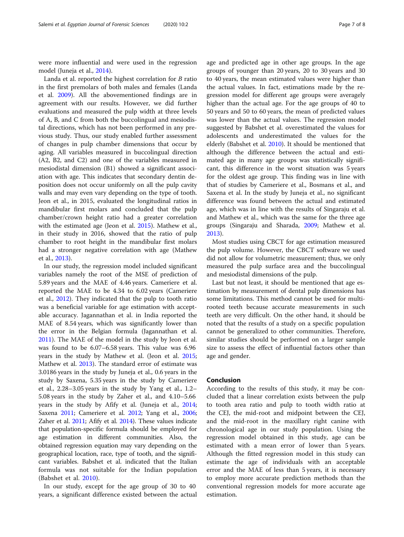were more influential and were used in the regression model (Juneja et al., [2014\)](#page-7-0).

Landa et al. reported the highest correlation for B ratio in the first premolars of both males and females (Landa et al. [2009\)](#page-7-0). All the abovementioned findings are in agreement with our results. However, we did further evaluations and measured the pulp width at three levels of A, B, and C from both the buccolingual and mesiodistal directions, which has not been performed in any previous study. Thus, our study enabled further assessment of changes in pulp chamber dimensions that occur by aging. All variables measured in buccolingual direction (A2, B2, and C2) and one of the variables measured in mesiodistal dimension (B1) showed a significant association with age. This indicates that secondary dentin deposition does not occur uniformly on all the pulp cavity walls and may even vary depending on the type of tooth. Jeon et al., in 2015, evaluated the longitudinal ratios in mandibular first molars and concluded that the pulp chamber/crown height ratio had a greater correlation with the estimated age (Jeon et al. [2015\)](#page-7-0). Mathew et al., in their study in 2016, showed that the ratio of pulp chamber to root height in the mandibular first molars had a stronger negative correlation with age (Mathew et al., [2013](#page-7-0)).

In our study, the regression model included significant variables namely the root of the MSE of prediction of 5.89 years and the MAE of 4.46 years. Cameriere et al. reported the MAE to be 4.34 to 6.02 years (Cameriere et al., [2012](#page-7-0)). They indicated that the pulp to tooth ratio was a beneficial variable for age estimation with acceptable accuracy. Jagannathan et al. in India reported the MAE of 8.54 years, which was significantly lower than the error in the Belgian formula (Jagannathan et al. [2011](#page-7-0)). The MAE of the model in the study by Jeon et al. was found to be 6.07–6.58 years. This value was 6.96 years in the study by Mathew et al. (Jeon et al. [2015](#page-7-0); Mathew et al. [2013](#page-7-0)). The standard error of estimate was 3.0186 years in the study by Juneja et al., 0.6 years in the study by Saxena, 5.35 years in the study by Cameriere et al., 2.28–3.05 years in the study by Yang et al., 1.2– 5.08 years in the study by Zaher et al., and 4.10–5.66 years in the study by Afify et al. (Juneja et al., [2014](#page-7-0); Saxena [2011;](#page-7-0) Cameriere et al. [2012](#page-7-0); Yang et al., [2006](#page-7-0); Zaher et al. [2011;](#page-7-0) Afify et al. [2014\)](#page-7-0). These values indicate that population-specific formula should be employed for age estimation in different communities. Also, the obtained regression equation may vary depending on the geographical location, race, type of tooth, and the significant variables. Babshet et al. indicated that the Italian formula was not suitable for the Indian population (Babshet et al. [2010](#page-7-0)).

In our study, except for the age group of 30 to 40 years, a significant difference existed between the actual

age and predicted age in other age groups. In the age groups of younger than 20 years, 20 to 30 years and 30 to 40 years, the mean estimated values were higher than the actual values. In fact, estimations made by the regression model for different age groups were averagely higher than the actual age. For the age groups of 40 to 50 years and 50 to 60 years, the mean of predicted values was lower than the actual values. The regression model suggested by Babshet et al. overestimated the values for adolescents and underestimated the values for the elderly (Babshet et al. [2010](#page-7-0)). It should be mentioned that although the difference between the actual and estimated age in many age groups was statistically significant, this difference in the worst situation was 5 years for the oldest age group. This finding was in line with that of studies by Cameriere et al., Bosmans et al., and Saxena et al. In the study by Juneja et al., no significant difference was found between the actual and estimated age, which was in line with the results of Singaraju et al. and Mathew et al., which was the same for the three age groups (Singaraju and Sharada, [2009;](#page-7-0) Mathew et al. [2013](#page-7-0)).

Most studies using CBCT for age estimation measured the pulp volume. However, the CBCT software we used did not allow for volumetric measurement; thus, we only measured the pulp surface area and the buccolingual and mesiodistal dimensions of the pulp.

Last but not least, it should be mentioned that age estimation by measurement of dental pulp dimensions has some limitations. This method cannot be used for multirooted teeth because accurate measurements in such teeth are very difficult. On the other hand, it should be noted that the results of a study on a specific population cannot be generalized to other communities. Therefore, similar studies should be performed on a larger sample size to assess the effect of influential factors other than age and gender.

#### Conclusion

According to the results of this study, it may be concluded that a linear correlation exists between the pulp to tooth area ratio and pulp to tooth width ratio at the CEJ, the mid-root and midpoint between the CEJ, and the mid-root in the maxillary right canine with chronological age in our study population. Using the regression model obtained in this study, age can be estimated with a mean error of lower than 5 years. Although the fitted regression model in this study can estimate the age of individuals with an acceptable error and the MAE of less than 5 years, it is necessary to employ more accurate prediction methods than the conventional regression models for more accurate age estimation.